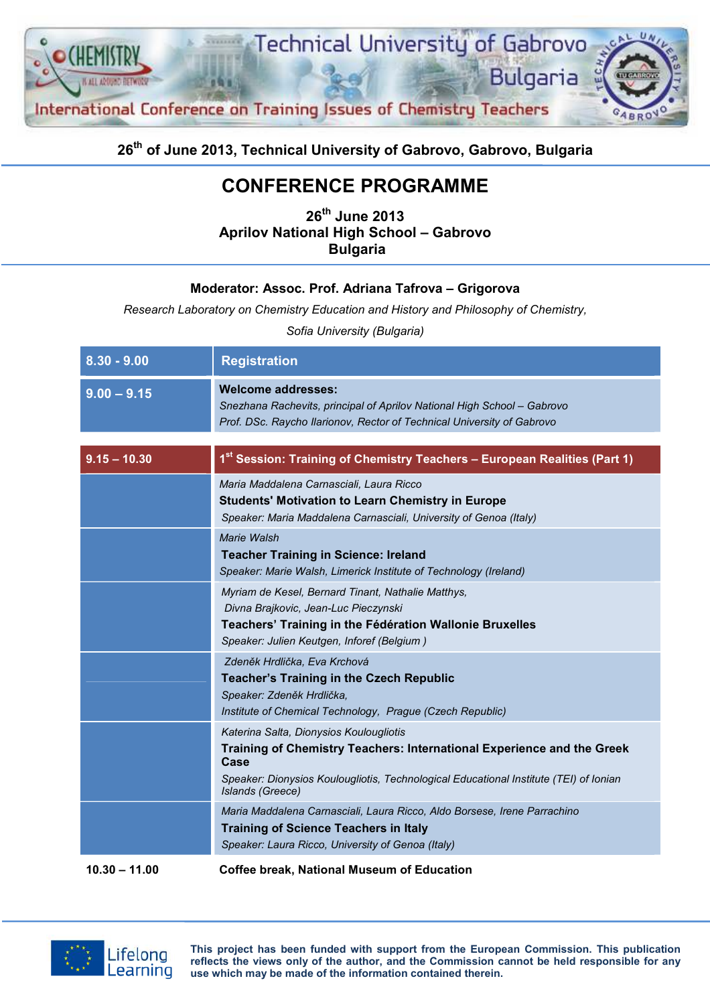

### 26<sup>th</sup> of June 2013, Technical University of Gabrovo, Gabrovo, Bulgaria

# CONFERENCE PROGRAMME

26<sup>th</sup> June 2013 Aprilov National High School – Gabrovo Bulgaria

#### Moderator: Assoc. Prof. Adriana Tafrova – Grigorova

Research Laboratory on Chemistry Education and History and Philosophy of Chemistry,

Sofia University (Bulgaria)

| $8.30 - 9.00$  | <b>Registration</b>                                                                                                                                                                                                                    |
|----------------|----------------------------------------------------------------------------------------------------------------------------------------------------------------------------------------------------------------------------------------|
| $9.00 - 9.15$  | <b>Welcome addresses:</b><br>Snezhana Rachevits, principal of Aprilov National High School - Gabrovo<br>Prof. DSc. Raycho Ilarionov, Rector of Technical University of Gabrovo                                                         |
| $9.15 - 10.30$ | 1 <sup>st</sup> Session: Training of Chemistry Teachers - European Realities (Part 1)                                                                                                                                                  |
|                | Maria Maddalena Carnasciali, Laura Ricco<br><b>Students' Motivation to Learn Chemistry in Europe</b><br>Speaker: Maria Maddalena Carnasciali, University of Genoa (Italy)                                                              |
|                | Marie Walsh<br><b>Teacher Training in Science: Ireland</b><br>Speaker: Marie Walsh, Limerick Institute of Technology (Ireland)                                                                                                         |
|                | Myriam de Kesel, Bernard Tinant, Nathalie Matthys,<br>Divna Brajkovic, Jean-Luc Pieczynski<br>Teachers' Training in the Fédération Wallonie Bruxelles<br>Speaker: Julien Keutgen, Inforef (Belgium)                                    |
|                | Zdeněk Hrdlička, Eva Krchová<br><b>Teacher's Training in the Czech Republic</b><br>Speaker: Zdeněk Hrdlička,<br>Institute of Chemical Technology, Prague (Czech Republic)                                                              |
|                | Katerina Salta, Dionysios Koulougliotis<br>Training of Chemistry Teachers: International Experience and the Greek<br>Case<br>Speaker: Dionysios Koulougliotis, Technological Educational Institute (TEI) of Ionian<br>Islands (Greece) |
|                | Maria Maddalena Carnasciali, Laura Ricco, Aldo Borsese, Irene Parrachino<br><b>Training of Science Teachers in Italy</b><br>Speaker: Laura Ricco, University of Genoa (Italy)                                                          |
| 10.30 - 11.00  | Coffee break. National Museum of Education                                                                                                                                                                                             |



This project has been funded with support from the European Commission. This publication reflects the views only of the author, and the Commission cannot be held responsible for any use which may be made of the information contained therein.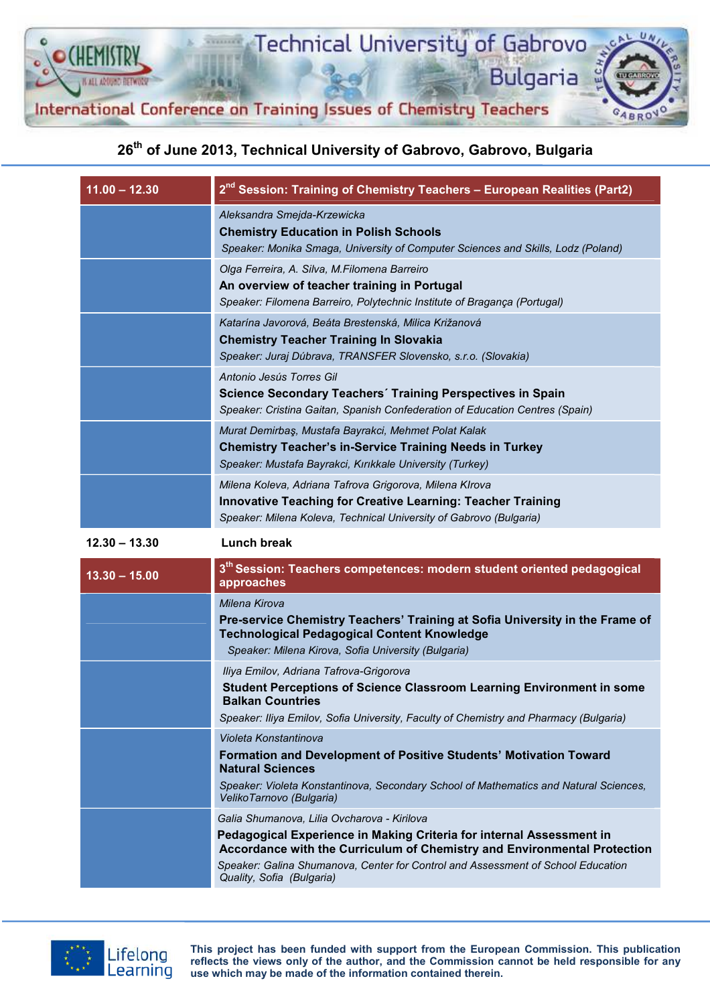

# 26<sup>th</sup> of June 2013, Technical University of Gabrovo, Gabrovo, Bulgaria

| $11.00 - 12.30$ | 2 <sup>nd</sup> Session: Training of Chemistry Teachers - European Realities (Part2)                                                                                                                |
|-----------------|-----------------------------------------------------------------------------------------------------------------------------------------------------------------------------------------------------|
|                 | Aleksandra Smejda-Krzewicka<br><b>Chemistry Education in Polish Schools</b><br>Speaker: Monika Smaga, University of Computer Sciences and Skills, Lodz (Poland)                                     |
|                 | Olga Ferreira, A. Silva, M.Filomena Barreiro<br>An overview of teacher training in Portugal<br>Speaker: Filomena Barreiro, Polytechnic Institute of Bragança (Portugal)                             |
|                 | Katarína Javorová, Beáta Brestenská, Milica Križanová<br><b>Chemistry Teacher Training In Slovakia</b><br>Speaker: Juraj Dúbrava, TRANSFER Slovensko, s.r.o. (Slovakia)                             |
|                 | Antonio Jesús Torres Gil<br>Science Secondary Teachers' Training Perspectives in Spain<br>Speaker: Cristina Gaitan, Spanish Confederation of Education Centres (Spain)                              |
|                 | Murat Demirbaş, Mustafa Bayrakci, Mehmet Polat Kalak<br><b>Chemistry Teacher's in-Service Training Needs in Turkey</b><br>Speaker: Mustafa Bayrakci, Kırıkkale University (Turkey)                  |
|                 | Milena Koleva, Adriana Tafrova Grigorova, Milena Klrova<br><b>Innovative Teaching for Creative Learning: Teacher Training</b><br>Speaker: Milena Koleva, Technical University of Gabrovo (Bulgaria) |
| $12.30 - 13.30$ | Lunch break                                                                                                                                                                                         |
|                 | $3^{\text{th}}$ Session: Teachers competences: modern student oriented pedagogical                                                                                                                  |

| 3 <sup>th</sup> Session: Teachers competences: modern student oriented pedagogical<br>approaches                                                 |
|--------------------------------------------------------------------------------------------------------------------------------------------------|
| Milena Kirova                                                                                                                                    |
| Pre-service Chemistry Teachers' Training at Sofia University in the Frame of<br><b>Technological Pedagogical Content Knowledge</b>               |
| Speaker: Milena Kirova, Sofia University (Bulgaria)                                                                                              |
| Iliya Emilov, Adriana Tafrova-Grigorova                                                                                                          |
| <b>Student Perceptions of Science Classroom Learning Environment in some</b><br><b>Balkan Countries</b>                                          |
| Speaker: Iliya Emilov, Sofia University, Faculty of Chemistry and Pharmacy (Bulgaria)                                                            |
| Violeta Konstantinova                                                                                                                            |
| <b>Formation and Development of Positive Students' Motivation Toward</b><br><b>Natural Sciences</b>                                              |
| Speaker: Violeta Konstantinova, Secondary School of Mathematics and Natural Sciences,<br>VelikoTarnovo (Bulgaria)                                |
| Galia Shumanova, Lilia Ovcharova - Kirilova                                                                                                      |
| Pedagogical Experience in Making Criteria for internal Assessment in<br>Accordance with the Curriculum of Chemistry and Environmental Protection |
| Speaker: Galina Shumanova, Center for Control and Assessment of School Education<br>Quality, Sofia (Bulgaria)                                    |
|                                                                                                                                                  |



This project has been funded with support from the European Commission. This publication reflects the views only of the author, and the Commission cannot be held responsible for any use which may be made of the information contained therein.